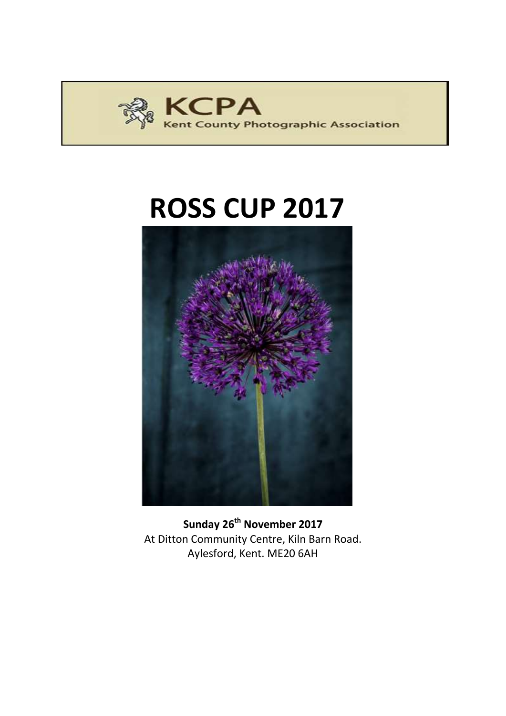

# **ROSS CUP 2017**



**Sunday 26th November 2017** At Ditton Community Centre, Kiln Barn Road. Aylesford, Kent. ME20 6AH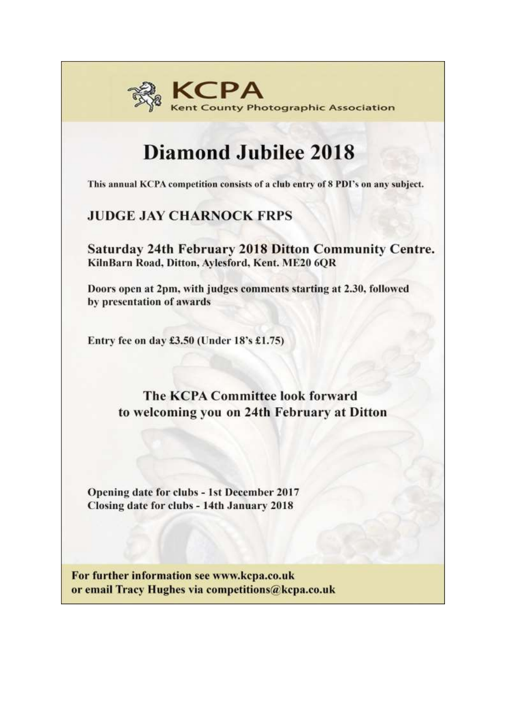

## **Diamond Jubilee 2018**

This annual KCPA competition consists of a club entry of 8 PDI's on any subject.

## **JUDGE JAY CHARNOCK FRPS**

**Saturday 24th February 2018 Ditton Community Centre.** KilnBarn Road, Ditton, Aylesford, Kent. ME20 6QR

Doors open at 2pm, with judges comments starting at 2.30, followed by presentation of awards

Entry fee on day £3.50 (Under 18's £1.75)

### **The KCPA Committee look forward** to welcoming you on 24th February at Ditton

Opening date for clubs - 1st December 2017 Closing date for clubs - 14th January 2018

For further information see www.kcpa.co.uk or email Tracy Hughes via competitions@kcpa.co.uk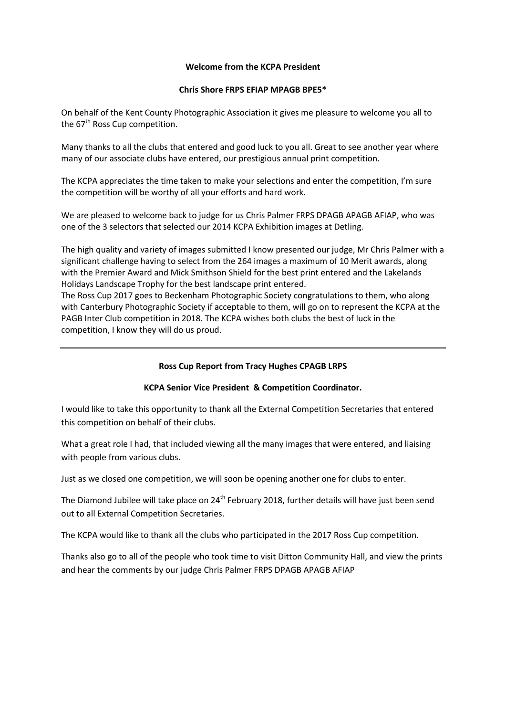#### **Welcome from the KCPA President**

#### **Chris Shore FRPS EFIAP MPAGB BPE5\***

On behalf of the Kent County Photographic Association it gives me pleasure to welcome you all to the  $67<sup>th</sup>$  Ross Cup competition.

Many thanks to all the clubs that entered and good luck to you all. Great to see another year where many of our associate clubs have entered, our prestigious annual print competition.

The KCPA appreciates the time taken to make your selections and enter the competition, I'm sure the competition will be worthy of all your efforts and hard work.

We are pleased to welcome back to judge for us Chris Palmer FRPS DPAGB APAGB AFIAP, who was one of the 3 selectors that selected our 2014 KCPA Exhibition images at Detling.

The high quality and variety of images submitted I know presented our judge, Mr Chris Palmer with a significant challenge having to select from the 264 images a maximum of 10 Merit awards, along with the Premier Award and Mick Smithson Shield for the best print entered and the Lakelands Holidays Landscape Trophy for the best landscape print entered.

The Ross Cup 2017 goes to Beckenham Photographic Society congratulations to them, who along with Canterbury Photographic Society if acceptable to them, will go on to represent the KCPA at the PAGB Inter Club competition in 2018. The KCPA wishes both clubs the best of luck in the competition, I know they will do us proud.

#### **Ross Cup Report from Tracy Hughes CPAGB LRPS**

#### **KCPA Senior Vice President & Competition Coordinator.**

I would like to take this opportunity to thank all the External Competition Secretaries that entered this competition on behalf of their clubs.

What a great role I had, that included viewing all the many images that were entered, and liaising with people from various clubs.

Just as we closed one competition, we will soon be opening another one for clubs to enter.

The Diamond Jubilee will take place on 24<sup>th</sup> February 2018, further details will have just been send out to all External Competition Secretaries.

The KCPA would like to thank all the clubs who participated in the 2017 Ross Cup competition.

Thanks also go to all of the people who took time to visit Ditton Community Hall, and view the prints and hear the comments by our judge Chris Palmer FRPS DPAGB APAGB AFIAP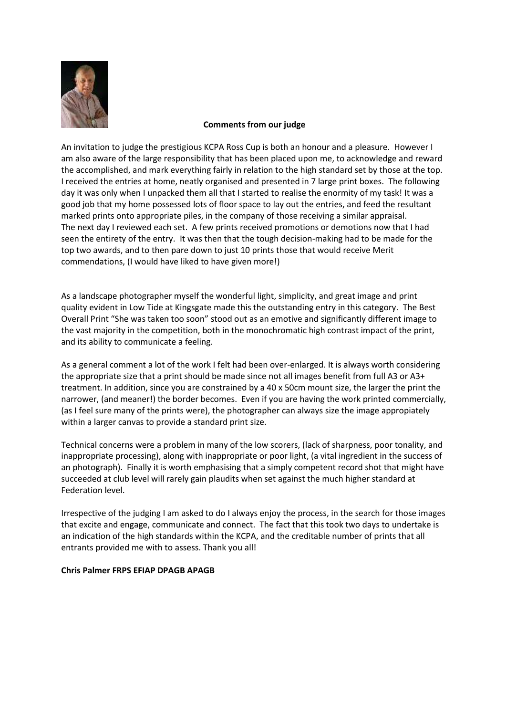

#### **Comments from our judge**

An invitation to judge the prestigious KCPA Ross Cup is both an honour and a pleasure. However I am also aware of the large responsibility that has been placed upon me, to acknowledge and reward the accomplished, and mark everything fairly in relation to the high standard set by those at the top. I received the entries at home, neatly organised and presented in 7 large print boxes. The following day it was only when I unpacked them all that I started to realise the enormity of my task! It was a good job that my home possessed lots of floor space to lay out the entries, and feed the resultant marked prints onto appropriate piles, in the company of those receiving a similar appraisal. The next day I reviewed each set. A few prints received promotions or demotions now that I had seen the entirety of the entry. It was then that the tough decision-making had to be made for the top two awards, and to then pare down to just 10 prints those that would receive Merit commendations, (I would have liked to have given more!)

As a landscape photographer myself the wonderful light, simplicity, and great image and print quality evident in Low Tide at Kingsgate made this the outstanding entry in this category. The Best Overall Print "She was taken too soon" stood out as an emotive and significantly different image to the vast majority in the competition, both in the monochromatic high contrast impact of the print, and its ability to communicate a feeling.

As a general comment a lot of the work I felt had been over-enlarged. It is always worth considering the appropriate size that a print should be made since not all images benefit from full A3 or A3+ treatment. In addition, since you are constrained by a 40 x 50cm mount size, the larger the print the narrower, (and meaner!) the border becomes. Even if you are having the work printed commercially, (as I feel sure many of the prints were), the photographer can always size the image appropiately within a larger canvas to provide a standard print size.

Technical concerns were a problem in many of the low scorers, (lack of sharpness, poor tonality, and inappropriate processing), along with inappropriate or poor light, (a vital ingredient in the success of an photograph). Finally it is worth emphasising that a simply competent record shot that might have succeeded at club level will rarely gain plaudits when set against the much higher standard at Federation level.

Irrespective of the judging I am asked to do I always enjoy the process, in the search for those images that excite and engage, communicate and connect. The fact that this took two days to undertake is an indication of the high standards within the KCPA, and the creditable number of prints that all entrants provided me with to assess. Thank you all!

#### **Chris Palmer FRPS EFIAP DPAGB APAGB**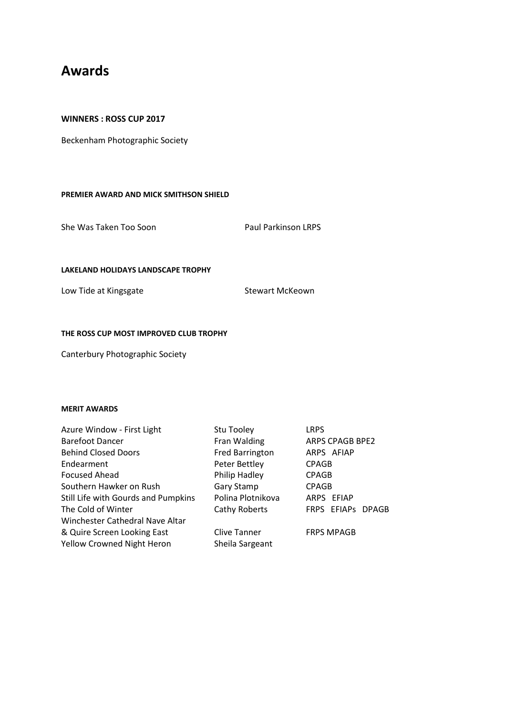### **Awards**

#### **WINNERS : ROSS CUP 2017**

Beckenham Photographic Society

#### **PREMIER AWARD AND MICK SMITHSON SHIELD**

She Was Taken Too Soon Paul Parkinson LRPS

#### **LAKELAND HOLIDAYS LANDSCAPE TROPHY**

Low Tide at Kingsgate Stewart McKeown

#### **THE ROSS CUP MOST IMPROVED CLUB TROPHY**

Canterbury Photographic Society

#### **MERIT AWARDS**

| Azure Window - First Light          | Stu Tooley          | <b>LRPS</b>            |
|-------------------------------------|---------------------|------------------------|
| <b>Barefoot Dancer</b>              | Fran Walding        | <b>ARPS CPAGB BPE2</b> |
| <b>Behind Closed Doors</b>          | Fred Barrington     | ARPS AFIAP             |
| Endearment                          | Peter Bettley       | <b>CPAGB</b>           |
| Focused Ahead                       | Philip Hadley       | <b>CPAGB</b>           |
| Southern Hawker on Rush             | Gary Stamp          | <b>CPAGB</b>           |
| Still Life with Gourds and Pumpkins | Polina Plotnikova   | ARPS EFIAP             |
| The Cold of Winter                  | Cathy Roberts       | FRPS EFIAPs DPAGB      |
| Winchester Cathedral Nave Altar     |                     |                        |
| & Quire Screen Looking East         | <b>Clive Tanner</b> | <b>FRPS MPAGB</b>      |
| <b>Yellow Crowned Night Heron</b>   | Sheila Sargeant     |                        |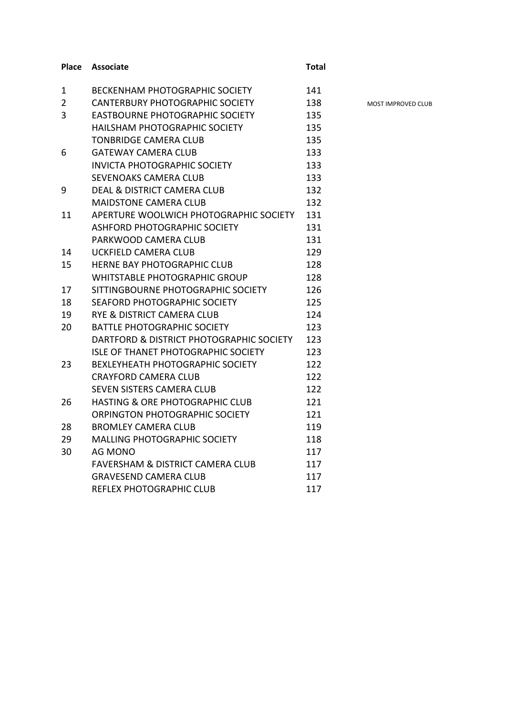#### **Place Associate Total**

1 BECKENHAM PHOTOGRAPHIC SOCIETY 141 2 CANTERBURY PHOTOGRAPHIC SOCIETY 138 MOST IMPROVED CLUB 3 EASTBOURNE PHOTOGRAPHIC SOCIETY 135 HAILSHAM PHOTOGRAPHIC SOCIETY 135 TONBRIDGE CAMERA CLUB 135 6 GATEWAY CAMERA CLUB 133 INVICTA PHOTOGRAPHIC SOCIETY 133 SEVENOAKS CAMERA CLUB 133 9 DEAL & DISTRICT CAMERA CLUB 132 MAIDSTONE CAMERA CLUB
132 11 APERTURE WOOLWICH PHOTOGRAPHIC SOCIETY 131 ASHFORD PHOTOGRAPHIC SOCIETY 131 PARKWOOD CAMERA CLUB 131 14 UCKFIELD CAMERA CLUB 129 15 HERNE BAY PHOTOGRAPHIC CLUB 128 WHITSTABLE PHOTOGRAPHIC GROUP 128 17 SITTINGBOURNE PHOTOGRAPHIC SOCIETY 126 18 SEAFORD PHOTOGRAPHIC SOCIETY 125 19 RYE & DISTRICT CAMERA CLUB 124 20 BATTLE PHOTOGRAPHIC SOCIETY 123 DARTFORD & DISTRICT PHOTOGRAPHIC SOCIETY 123 ISLE OF THANET PHOTOGRAPHIC SOCIETY 123 23 BEXLEYHEATH PHOTOGRAPHIC SOCIETY 122 CRAYFORD CAMERA CLUB 122 SEVEN SISTERS CAMERA CLUB 122 26 HASTING & ORE PHOTOGRAPHIC CLUB 121 ORPINGTON PHOTOGRAPHIC SOCIETY 121 28 BROMLEY CAMERA CLUB 119 29 MALLING PHOTOGRAPHIC SOCIETY 118 30 AG MONO 117 FAVERSHAM & DISTRICT CAMERA CLUB
117 GRAVESEND CAMERA CLUB 117 REFLEX PHOTOGRAPHIC CLUB 117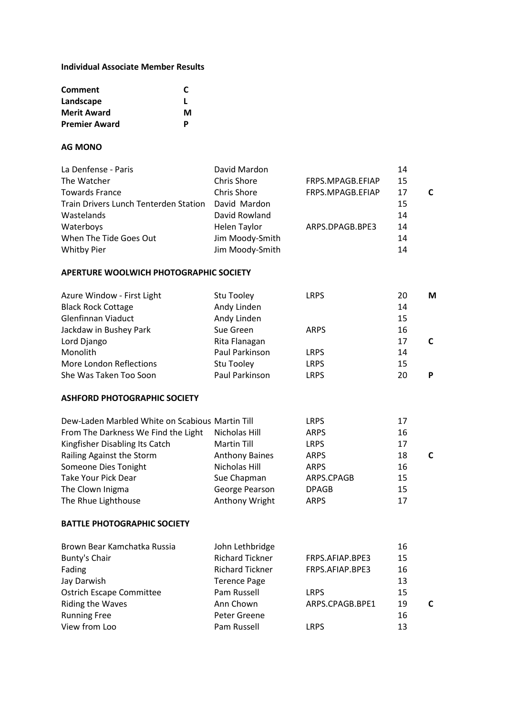#### **Individual Associate Member Results**

| <b>Comment</b>       | C |
|----------------------|---|
| Landscape            |   |
| <b>Merit Award</b>   | м |
| <b>Premier Award</b> | D |

#### **AG MONO**

| La Denfense - Paris                          | David Mardon       |                  | 14 |  |
|----------------------------------------------|--------------------|------------------|----|--|
| The Watcher                                  | <b>Chris Shore</b> | FRPS.MPAGB.EFIAP | 15 |  |
| <b>Towards France</b>                        | <b>Chris Shore</b> | FRPS.MPAGB.EFIAP | 17 |  |
| <b>Train Drivers Lunch Tenterden Station</b> | David Mardon       |                  | 15 |  |
| Wastelands                                   | David Rowland      |                  | 14 |  |
| Waterboys                                    | Helen Taylor       | ARPS.DPAGB.BPE3  | 14 |  |
| When The Tide Goes Out                       | Jim Moody-Smith    |                  | 14 |  |
| <b>Whitby Pier</b>                           | Jim Moody-Smith    |                  | 14 |  |

#### **APERTURE WOOLWICH PHOTOGRAPHIC SOCIETY**

| Azure Window - First Light | Stu Tooley     | <b>LRPS</b> | 20 | М |
|----------------------------|----------------|-------------|----|---|
| <b>Black Rock Cottage</b>  | Andy Linden    |             | 14 |   |
| <b>Glenfinnan Viaduct</b>  | Andy Linden    |             | 15 |   |
| Jackdaw in Bushey Park     | Sue Green      | <b>ARPS</b> | 16 |   |
| Lord Django                | Rita Flanagan  |             | 17 |   |
| Monolith                   | Paul Parkinson | <b>LRPS</b> | 14 |   |
| More London Reflections    | Stu Tooley     | <b>LRPS</b> | 15 |   |
| She Was Taken Too Soon     | Paul Parkinson | <b>LRPS</b> | 20 | D |

#### **ASHFORD PHOTOGRAPHIC SOCIETY**

| Dew-Laden Marbled White on Scabious Martin Till | <b>LRPS</b>  | 17 |   |
|-------------------------------------------------|--------------|----|---|
| Nicholas Hill                                   | <b>ARPS</b>  | 16 |   |
| <b>Martin Till</b>                              | <b>LRPS</b>  | 17 |   |
| <b>Anthony Baines</b>                           | <b>ARPS</b>  | 18 | C |
| Nicholas Hill                                   | <b>ARPS</b>  | 16 |   |
| Sue Chapman                                     | ARPS.CPAGB   | 15 |   |
| George Pearson                                  | <b>DPAGB</b> | 15 |   |
| Anthony Wright                                  | <b>ARPS</b>  | 17 |   |
|                                                 |              |    |   |

#### **BATTLE PHOTOGRAPHIC SOCIETY**

| Brown Bear Kamchatka Russia     | John Lethbridge        |                 | 16 |  |
|---------------------------------|------------------------|-----------------|----|--|
| Bunty's Chair                   | <b>Richard Tickner</b> | FRPS.AFIAP.BPE3 | 15 |  |
| Fading                          | <b>Richard Tickner</b> | FRPS.AFIAP.BPE3 | 16 |  |
| Jay Darwish                     | <b>Terence Page</b>    |                 | 13 |  |
| <b>Ostrich Escape Committee</b> | Pam Russell            | <b>LRPS</b>     | 15 |  |
| Riding the Waves                | Ann Chown              | ARPS.CPAGB.BPE1 | 19 |  |
| <b>Running Free</b>             | Peter Greene           |                 | 16 |  |
| View from Loo                   | Pam Russell            | <b>LRPS</b>     | 13 |  |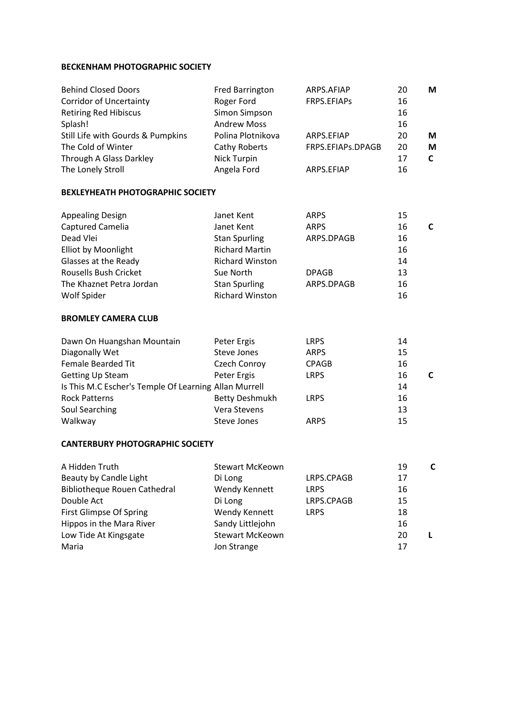#### **BECKENHAM PHOTOGRAPHIC SOCIETY**

| <b>Behind Closed Doors</b>                            | <b>Fred Barrington</b> | ARPS.AFIAP        | 20 | M            |
|-------------------------------------------------------|------------------------|-------------------|----|--------------|
| <b>Corridor of Uncertainty</b>                        | Roger Ford             | FRPS.EFIAPs       | 16 |              |
| <b>Retiring Red Hibiscus</b>                          | <b>Simon Simpson</b>   |                   | 16 |              |
| Splash!                                               | <b>Andrew Moss</b>     |                   | 16 |              |
| Still Life with Gourds & Pumpkins                     | Polina Plotnikova      | ARPS.EFIAP        | 20 | M            |
| The Cold of Winter                                    | Cathy Roberts          | FRPS.EFIAPs.DPAGB | 20 | M            |
| Through A Glass Darkley                               | Nick Turpin            |                   | 17 | $\mathsf{C}$ |
| The Lonely Stroll                                     | Angela Ford            | ARPS.EFIAP        | 16 |              |
| <b>BEXLEYHEATH PHOTOGRAPHIC SOCIETY</b>               |                        |                   |    |              |
| <b>Appealing Design</b>                               | Janet Kent             | <b>ARPS</b>       | 15 |              |
| Captured Camelia                                      | Janet Kent             | <b>ARPS</b>       | 16 | $\mathsf{C}$ |
| Dead Vlei                                             | <b>Stan Spurling</b>   | ARPS.DPAGB        | 16 |              |
| <b>Elliot by Moonlight</b>                            | <b>Richard Martin</b>  |                   | 16 |              |
| Glasses at the Ready                                  | <b>Richard Winston</b> |                   | 14 |              |
| Rousells Bush Cricket                                 | Sue North              | <b>DPAGB</b>      | 13 |              |
| The Khaznet Petra Jordan                              | <b>Stan Spurling</b>   | ARPS.DPAGB        | 16 |              |
| Wolf Spider                                           | <b>Richard Winston</b> |                   | 16 |              |
| <b>BROMLEY CAMERA CLUB</b>                            |                        |                   |    |              |
| Dawn On Huangshan Mountain                            | Peter Ergis            | <b>LRPS</b>       | 14 |              |
| Diagonally Wet                                        | <b>Steve Jones</b>     | <b>ARPS</b>       | 15 |              |
| <b>Female Bearded Tit</b>                             | Czech Conroy           | <b>CPAGB</b>      | 16 |              |
| Getting Up Steam                                      | Peter Ergis            | <b>LRPS</b>       | 16 | $\mathsf{C}$ |
| Is This M.C Escher's Temple Of Learning Allan Murrell |                        |                   | 14 |              |
| <b>Rock Patterns</b>                                  | <b>Betty Deshmukh</b>  | <b>LRPS</b>       | 16 |              |
| Soul Searching                                        | Vera Stevens           |                   | 13 |              |
| Walkway                                               | Steve Jones            | <b>ARPS</b>       | 15 |              |
| <b>CANTERBURY PHOTOGRAPHIC SOCIETY</b>                |                        |                   |    |              |
| A Hidden Truth                                        | <b>Stewart McKeown</b> |                   | 19 | $\mathbf c$  |
| Beauty by Candle Light                                | Di Long                | LRPS.CPAGB        | 17 |              |

| Beauty by Candle Light              | Di Long                | LRPS.CPAGB  | 17 |  |
|-------------------------------------|------------------------|-------------|----|--|
| <b>Bibliotheque Rouen Cathedral</b> | Wendy Kennett          | <b>LRPS</b> | 16 |  |
| Double Act                          | Di Long                | LRPS.CPAGB  | 15 |  |
| First Glimpse Of Spring             | Wendy Kennett          | <b>LRPS</b> | 18 |  |
| Hippos in the Mara River            | Sandy Littlejohn       |             | 16 |  |
| Low Tide At Kingsgate               | <b>Stewart McKeown</b> |             | 20 |  |
| Maria                               | Jon Strange            |             | 17 |  |
|                                     |                        |             |    |  |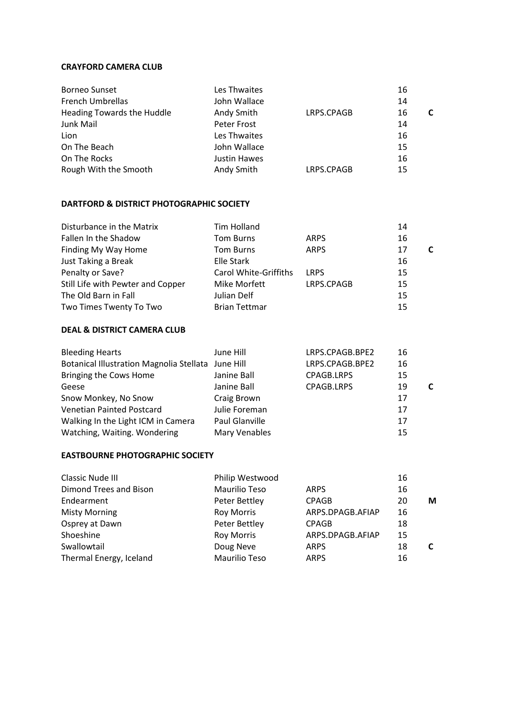#### **CRAYFORD CAMERA CLUB**

| <b>Borneo Sunset</b>       | Les Thwaites |            | 16 |  |
|----------------------------|--------------|------------|----|--|
| French Umbrellas           | John Wallace |            | 14 |  |
| Heading Towards the Huddle | Andy Smith   | LRPS.CPAGB | 16 |  |
| Junk Mail                  | Peter Frost  |            | 14 |  |
| Lion                       | Les Thwaites |            | 16 |  |
| On The Beach               | John Wallace |            | 15 |  |
| On The Rocks               | Justin Hawes |            | 16 |  |
| Rough With the Smooth      | Andy Smith   | LRPS.CPAGB | 15 |  |

#### **DARTFORD & DISTRICT PHOTOGRAPHIC SOCIETY**

| Disturbance in the Matrix         | <b>Tim Holland</b>           |             | 14 |  |
|-----------------------------------|------------------------------|-------------|----|--|
| Fallen In the Shadow              | <b>Tom Burns</b>             | <b>ARPS</b> | 16 |  |
| Finding My Way Home               | <b>Tom Burns</b>             | <b>ARPS</b> | 17 |  |
| Just Taking a Break               | Elle Stark                   |             | 16 |  |
| Penalty or Save?                  | <b>Carol White-Griffiths</b> | <b>LRPS</b> | 15 |  |
| Still Life with Pewter and Copper | Mike Morfett                 | LRPS.CPAGB  | 15 |  |
| The Old Barn in Fall              | Julian Delf                  |             | 15 |  |
| Two Times Twenty To Two           | <b>Brian Tettmar</b>         |             | 15 |  |

#### **DEAL & DISTRICT CAMERA CLUB**

| <b>Bleeding Hearts</b>                             | June Hill      | LRPS.CPAGB.BPE2   | 16 |   |
|----------------------------------------------------|----------------|-------------------|----|---|
| Botanical Illustration Magnolia Stellata June Hill |                | LRPS.CPAGB.BPE2   | 16 |   |
| Bringing the Cows Home                             | Janine Ball    | <b>CPAGB.LRPS</b> | 15 |   |
| Geese                                              | Janine Ball    | <b>CPAGB.LRPS</b> | 19 | C |
| Snow Monkey, No Snow                               | Craig Brown    |                   | 17 |   |
| Venetian Painted Postcard                          | Julie Foreman  |                   | 17 |   |
| Walking In the Light ICM in Camera                 | Paul Glanville |                   | 17 |   |
| Watching, Waiting. Wondering                       | Mary Venables  |                   | 15 |   |

#### **EASTBOURNE PHOTOGRAPHIC SOCIETY**

| Philip Westwood      |                                                                          | 16 |   |
|----------------------|--------------------------------------------------------------------------|----|---|
| <b>Maurilio Teso</b> | <b>ARPS</b>                                                              | 16 |   |
|                      | <b>CPAGB</b>                                                             | 20 | M |
|                      | ARPS.DPAGB.AFIAP                                                         | 16 |   |
|                      | <b>CPAGB</b>                                                             | 18 |   |
|                      | ARPS.DPAGB.AFIAP                                                         | 15 |   |
| Doug Neve            | <b>ARPS</b>                                                              | 18 |   |
| <b>Maurilio Teso</b> | <b>ARPS</b>                                                              | 16 |   |
|                      | Peter Bettley<br><b>Roy Morris</b><br>Peter Bettley<br><b>Roy Morris</b> |    |   |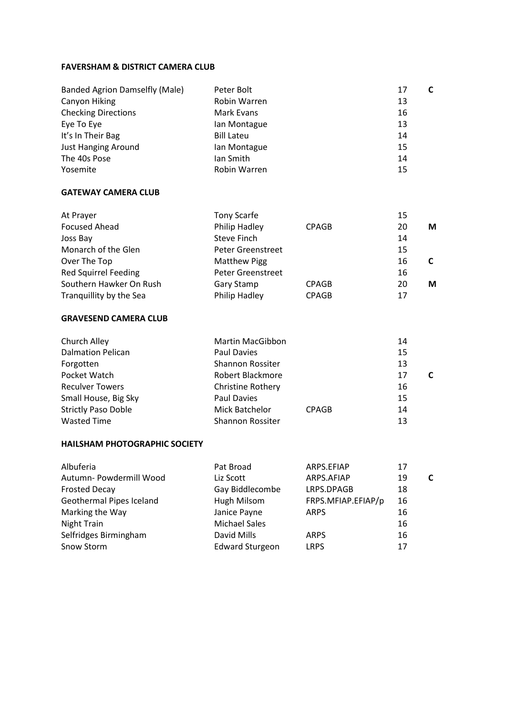#### **FAVERSHAM & DISTRICT CAMERA CLUB**

| <b>Banded Agrion Damselfly (Male)</b> | Peter Bolt        | C<br>17 |
|---------------------------------------|-------------------|---------|
| Canyon Hiking                         | Robin Warren      | 13      |
| <b>Checking Directions</b>            | Mark Evans        | 16      |
| Eye To Eye                            | lan Montague      | 13      |
| It's In Their Bag                     | <b>Bill Lateu</b> | 14      |
| <b>Just Hanging Around</b>            | Ian Montague      | 15      |
| The 40s Pose                          | lan Smith         | 14      |
| Yosemite                              | Robin Warren      | 15      |

#### **GATEWAY CAMERA CLUB**

| At Prayer                   | Tony Scarfe              |              | 15 |   |
|-----------------------------|--------------------------|--------------|----|---|
| <b>Focused Ahead</b>        | Philip Hadley            | <b>CPAGB</b> | 20 | М |
| Joss Bay                    | Steve Finch              |              | 14 |   |
| Monarch of the Glen         | <b>Peter Greenstreet</b> |              | 15 |   |
| Over The Top                | <b>Matthew Pigg</b>      |              | 16 |   |
| <b>Red Squirrel Feeding</b> | Peter Greenstreet        |              | 16 |   |
| Southern Hawker On Rush     | Gary Stamp               | <b>CPAGB</b> | 20 | М |
| Tranguillity by the Sea     | Philip Hadley            | <b>CPAGB</b> | 17 |   |

#### **GRAVESEND CAMERA CLUB**

| Church Alley               | <b>Martin MacGibbon</b>  |              | 14 |  |
|----------------------------|--------------------------|--------------|----|--|
| <b>Dalmation Pelican</b>   | Paul Davies              |              | 15 |  |
| Forgotten                  | <b>Shannon Rossiter</b>  |              | 13 |  |
| Pocket Watch               | Robert Blackmore         |              | 17 |  |
| <b>Reculver Towers</b>     | <b>Christine Rothery</b> |              | 16 |  |
| Small House, Big Sky       | Paul Davies              |              | 15 |  |
| <b>Strictly Paso Doble</b> | Mick Batchelor           | <b>CPAGB</b> | 14 |  |
| <b>Wasted Time</b>         | Shannon Rossiter         |              | 13 |  |

#### **HAILSHAM PHOTOGRAPHIC SOCIETY**

| Albuferia                | Pat Broad              | ARPS.EFIAP         | 17      |
|--------------------------|------------------------|--------------------|---------|
| Autumn- Powdermill Wood  | Liz Scott              | ARPS.AFIAP         | 19<br>C |
| <b>Frosted Decay</b>     | Gay Biddlecombe        | LRPS.DPAGB         | 18      |
| Geothermal Pipes Iceland | Hugh Milsom            | FRPS.MFIAP.EFIAP/p | 16      |
| Marking the Way          | Janice Payne           | <b>ARPS</b>        | 16      |
| Night Train              | <b>Michael Sales</b>   |                    | 16      |
| Selfridges Birmingham    | David Mills            | <b>ARPS</b>        | 16      |
| Snow Storm               | <b>Edward Sturgeon</b> | <b>LRPS</b>        | 17      |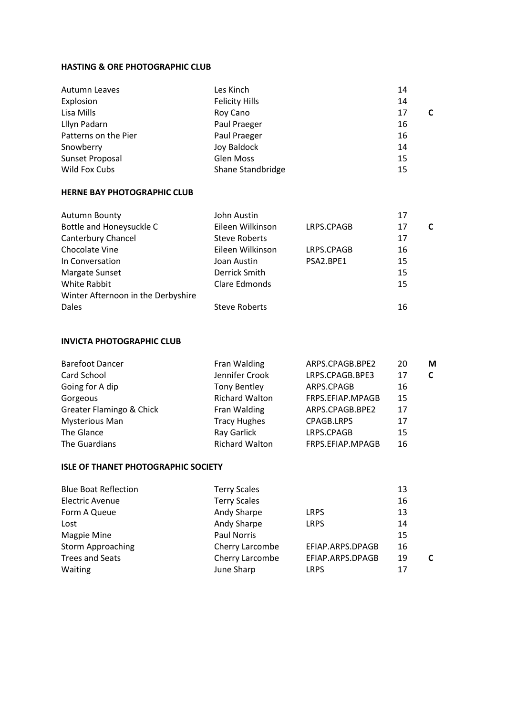#### **HASTING & ORE PHOTOGRAPHIC CLUB**

| Autumn Leaves        | Les Kinch             | 14 |   |
|----------------------|-----------------------|----|---|
| Explosion            | <b>Felicity Hills</b> | 14 |   |
| Lisa Mills           | Roy Cano              | 17 | C |
| Lllyn Padarn         | Paul Praeger          | 16 |   |
| Patterns on the Pier | Paul Praeger          | 16 |   |
| Snowberry            | Joy Baldock           | 14 |   |
| Sunset Proposal      | <b>Glen Moss</b>      | 15 |   |
| Wild Fox Cubs        | Shane Standbridge     | 15 |   |

#### **HERNE BAY PHOTOGRAPHIC CLUB**

| <b>Autumn Bounty</b>               | John Austin          |            | 17 |   |
|------------------------------------|----------------------|------------|----|---|
| Bottle and Honeysuckle C           | Eileen Wilkinson     | LRPS.CPAGB | 17 | C |
| Canterbury Chancel                 | <b>Steve Roberts</b> |            | 17 |   |
| Chocolate Vine                     | Eileen Wilkinson     | LRPS.CPAGB | 16 |   |
| In Conversation                    | Joan Austin          | PSA2.BPE1  | 15 |   |
| Margate Sunset                     | Derrick Smith        |            | 15 |   |
| White Rabbit                       | Clare Edmonds        |            | 15 |   |
| Winter Afternoon in the Derbyshire |                      |            |    |   |
| Dales                              | <b>Steve Roberts</b> |            | 16 |   |
|                                    |                      |            |    |   |

#### **INVICTA PHOTOGRAPHIC CLUB**

| Fran Walding          | ARPS.CPAGB.BPE2   | 20 | M |
|-----------------------|-------------------|----|---|
| Jennifer Crook        | LRPS.CPAGB.BPE3   | 17 | C |
| <b>Tony Bentley</b>   | ARPS.CPAGB        | 16 |   |
| <b>Richard Walton</b> | FRPS.EFIAP.MPAGB  | 15 |   |
| Fran Walding          | ARPS.CPAGB.BPE2   | 17 |   |
| <b>Tracy Hughes</b>   | <b>CPAGB.LRPS</b> | 17 |   |
| Ray Garlick           | LRPS.CPAGB        | 15 |   |
| <b>Richard Walton</b> | FRPS.EFIAP.MPAGB  | 16 |   |
|                       |                   |    |   |

#### **ISLE OF THANET PHOTOGRAPHIC SOCIETY**

| <b>Blue Boat Reflection</b> | <b>Terry Scales</b> |                  | 13 |   |
|-----------------------------|---------------------|------------------|----|---|
| <b>Electric Avenue</b>      | <b>Terry Scales</b> |                  | 16 |   |
| Form A Queue                | Andy Sharpe         | <b>LRPS</b>      | 13 |   |
| Lost                        | Andy Sharpe         | <b>LRPS</b>      | 14 |   |
| Magpie Mine                 | Paul Norris         |                  | 15 |   |
| <b>Storm Approaching</b>    | Cherry Larcombe     | EFIAP.ARPS.DPAGB | 16 |   |
| <b>Trees and Seats</b>      | Cherry Larcombe     | EFIAP.ARPS.DPAGB | 19 | C |
| Waiting                     | June Sharp          | <b>LRPS</b>      | 17 |   |
|                             |                     |                  |    |   |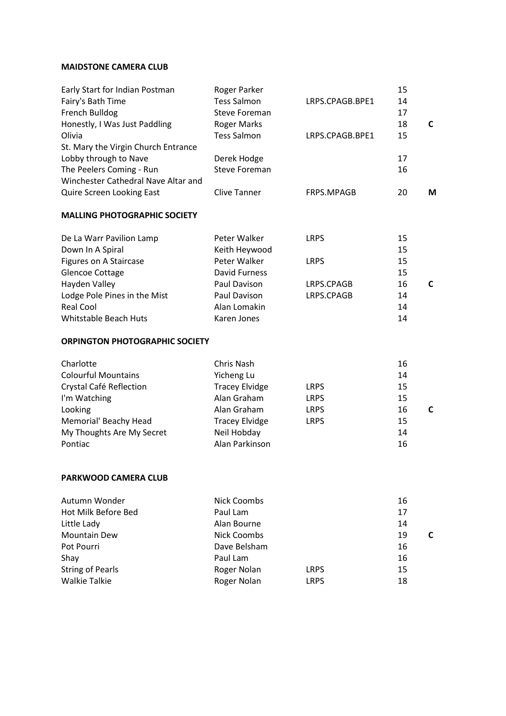#### **MAIDSTONE CAMERA CLUB**

| Early Start for Indian Postman      | Roger Parker         |                 | 15 |   |
|-------------------------------------|----------------------|-----------------|----|---|
| Fairy's Bath Time                   | <b>Tess Salmon</b>   | LRPS.CPAGB.BPE1 | 14 |   |
| French Bulldog                      | <b>Steve Foreman</b> |                 | 17 |   |
| Honestly, I Was Just Paddling       | <b>Roger Marks</b>   |                 | 18 | C |
| Olivia                              | <b>Tess Salmon</b>   | LRPS.CPAGB.BPE1 | 15 |   |
| St. Mary the Virgin Church Entrance |                      |                 |    |   |
| Lobby through to Nave               | Derek Hodge          |                 | 17 |   |
| The Peelers Coming - Run            | Steve Foreman        |                 | 16 |   |
| Winchester Cathedral Nave Altar and |                      |                 |    |   |
| <b>Quire Screen Looking East</b>    | Clive Tanner         | FRPS.MPAGB      | 20 | M |
| <b>MALLING PHOTOGRAPHIC SOCIETY</b> |                      |                 |    |   |
| De La Warr Pavilion Lamp            | Peter Walker         | <b>LRPS</b>     | 15 |   |
| Down In A Spiral                    | Keith Heywood        |                 | 15 |   |
| Figures on A Staircase              | Peter Walker         | <b>LRPS</b>     | 15 |   |
| <b>Glencoe Cottage</b>              | David Furness        |                 | 15 |   |
| Hayden Valley                       | Paul Davison         | LRPS.CPAGB      | 16 | C |
| Lodge Pole Pines in the Mist        | Paul Davison         | LRPS.CPAGB      | 14 |   |
| <b>Real Cool</b>                    | Alan Lomakin         |                 | 14 |   |
| Whitstable Beach Huts               | Karen Jones          |                 | 14 |   |
|                                     |                      |                 |    |   |

#### **ORPINGTON PHOTOGRAPHIC SOCIETY**

|                                                                                                                                           | 16      |
|-------------------------------------------------------------------------------------------------------------------------------------------|---------|
|                                                                                                                                           | 14      |
| <b>LRPS</b>                                                                                                                               | 15      |
| <b>LRPS</b>                                                                                                                               | 15      |
| <b>LRPS</b>                                                                                                                               | 16<br>C |
| <b>LRPS</b>                                                                                                                               | 15      |
|                                                                                                                                           | 14      |
|                                                                                                                                           | 16      |
| Chris Nash<br>Yicheng Lu<br><b>Tracey Elvidge</b><br>Alan Graham<br>Alan Graham<br><b>Tracey Elvidge</b><br>Neil Hobday<br>Alan Parkinson |         |

#### **PARKWOOD CAMERA CLUB**

| Nick Coombs  |             | 16      |
|--------------|-------------|---------|
| Paul Lam     |             | 17      |
| Alan Bourne  |             | 14      |
| Nick Coombs  |             | 19<br>C |
| Dave Belsham |             | 16      |
| Paul Lam     |             | 16      |
| Roger Nolan  | <b>LRPS</b> | 15      |
| Roger Nolan  | <b>LRPS</b> | 18      |
|              |             |         |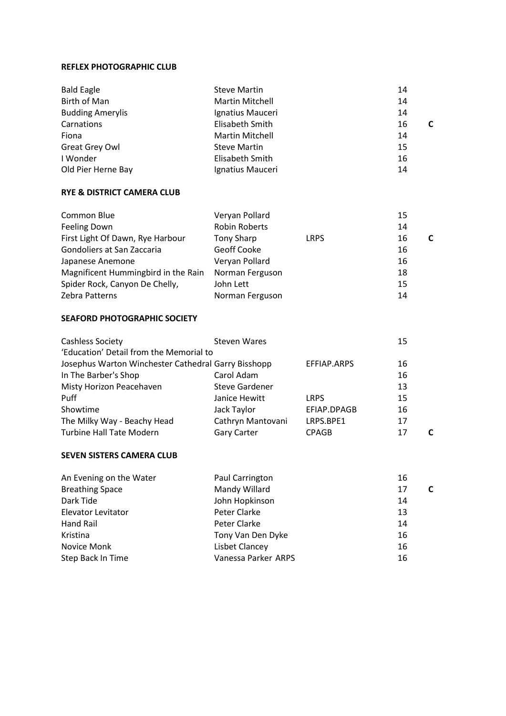#### **REFLEX PHOTOGRAPHIC CLUB**

| <b>Bald Eagle</b>       | <b>Steve Martin</b>    | 14 |
|-------------------------|------------------------|----|
| Birth of Man            | <b>Martin Mitchell</b> | 14 |
| <b>Budding Amerylis</b> | Ignatius Mauceri       | 14 |
| Carnations              | Elisabeth Smith        | 16 |
| Fiona                   | <b>Martin Mitchell</b> | 14 |
| Great Grey Owl          | <b>Steve Martin</b>    | 15 |
| I Wonder                | Elisabeth Smith        | 16 |
| Old Pier Herne Bay      | Ignatius Mauceri       | 14 |

#### **RYE & DISTRICT CAMERA CLUB**

| Common Blue                         | Veryan Pollard       |             | 15 |  |
|-------------------------------------|----------------------|-------------|----|--|
| Feeling Down                        | <b>Robin Roberts</b> |             | 14 |  |
| First Light Of Dawn, Rye Harbour    | Tony Sharp           | <b>LRPS</b> | 16 |  |
| Gondoliers at San Zaccaria          | Geoff Cooke          |             | 16 |  |
| Japanese Anemone                    | Veryan Pollard       |             | 16 |  |
| Magnificent Hummingbird in the Rain | Norman Ferguson      |             | 18 |  |
| Spider Rock, Canyon De Chelly,      | John Lett            |             | 15 |  |
| Zebra Patterns                      | Norman Ferguson      |             | 14 |  |

#### **SEAFORD PHOTOGRAPHIC SOCIETY**

| <b>Cashless Society</b>                             | <b>Steven Wares</b>   |              | 15 |
|-----------------------------------------------------|-----------------------|--------------|----|
| 'Education' Detail from the Memorial to             |                       |              |    |
| Josephus Warton Winchester Cathedral Garry Bisshopp |                       | EFFIAP.ARPS  | 16 |
| In The Barber's Shop                                | Carol Adam            |              | 16 |
| Misty Horizon Peacehaven                            | <b>Steve Gardener</b> |              | 13 |
| Puff                                                | Janice Hewitt         | <b>LRPS</b>  | 15 |
| Showtime                                            | Jack Taylor           | EFIAP.DPAGB  | 16 |
| The Milky Way - Beachy Head                         | Cathryn Mantovani     | LRPS.BPE1    | 17 |
| <b>Turbine Hall Tate Modern</b>                     | <b>Gary Carter</b>    | <b>CPAGB</b> | 17 |

#### **SEVEN SISTERS CAMERA CLUB**

| An Evening on the Water | Paul Carrington     | 16 |   |
|-------------------------|---------------------|----|---|
| <b>Breathing Space</b>  | Mandy Willard       | 17 | C |
| Dark Tide               | John Hopkinson      | 14 |   |
| Elevator Levitator      | Peter Clarke        | 13 |   |
| Hand Rail               | Peter Clarke        | 14 |   |
| Kristina                | Tony Van Den Dyke   | 16 |   |
| Novice Monk             | Lisbet Clancey      | 16 |   |
| Step Back In Time       | Vanessa Parker ARPS | 16 |   |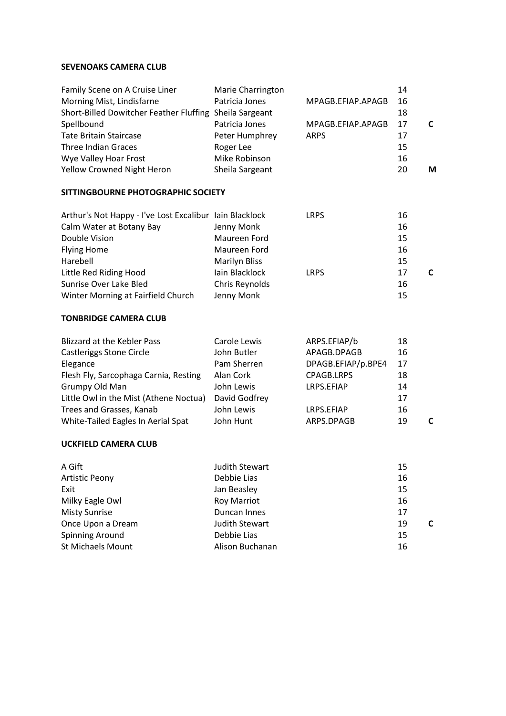#### **SEVENOAKS CAMERA CLUB**

| Family Scene on A Cruise Liner                          | Marie Charrington |                   | 14 |   |
|---------------------------------------------------------|-------------------|-------------------|----|---|
| Morning Mist, Lindisfarne                               | Patricia Jones    | MPAGB.EFIAP.APAGB | 16 |   |
| Short-Billed Dowitcher Feather Fluffing Sheila Sargeant |                   |                   | 18 |   |
| Spellbound                                              | Patricia Jones    | MPAGB.EFIAP.APAGB | 17 |   |
| <b>Tate Britain Staircase</b>                           | Peter Humphrey    | <b>ARPS</b>       | 17 |   |
| Three Indian Graces                                     | Roger Lee         |                   | 15 |   |
| Wye Valley Hoar Frost                                   | Mike Robinson     |                   | 16 |   |
| Yellow Crowned Night Heron                              | Sheila Sargeant   |                   | 20 | М |

#### **SITTINGBOURNE PHOTOGRAPHIC SOCIETY**

| Arthur's Not Happy - I've Lost Excalibur Iain Blacklock |                      | <b>LRPS</b> | 16 |  |
|---------------------------------------------------------|----------------------|-------------|----|--|
| Calm Water at Botany Bay                                | Jenny Monk           |             | 16 |  |
| Double Vision                                           | Maureen Ford         |             | 15 |  |
| <b>Flying Home</b>                                      | Maureen Ford         |             | 16 |  |
| Harebell                                                | <b>Marilyn Bliss</b> |             | 15 |  |
| Little Red Riding Hood                                  | lain Blacklock       | <b>LRPS</b> | 17 |  |
| Sunrise Over Lake Bled                                  | Chris Reynolds       |             | 16 |  |
| Winter Morning at Fairfield Church                      | Jenny Monk           |             | 15 |  |

#### **TONBRIDGE CAMERA CLUB**

| <b>Blizzard at the Kebler Pass</b>     | Carole Lewis  | ARPS.EFIAP/b       | 18 |  |
|----------------------------------------|---------------|--------------------|----|--|
| <b>Castleriggs Stone Circle</b>        | John Butler   | APAGB.DPAGB        | 16 |  |
| Elegance                               | Pam Sherren   | DPAGB.EFIAP/p.BPE4 | 17 |  |
| Flesh Fly, Sarcophaga Carnia, Resting  | Alan Cork     | CPAGB.LRPS         | 18 |  |
| Grumpy Old Man                         | John Lewis    | LRPS.EFIAP         | 14 |  |
| Little Owl in the Mist (Athene Noctua) | David Godfrey |                    | 17 |  |
| Trees and Grasses, Kanab               | John Lewis    | LRPS.EFIAP         | 16 |  |
| White-Tailed Eagles In Aerial Spat     | John Hunt     | ARPS.DPAGB         | 19 |  |

#### **UCKFIELD CAMERA CLUB**

| A Gift                | Judith Stewart        | 15      |
|-----------------------|-----------------------|---------|
| <b>Artistic Peony</b> | Debbie Lias           | 16      |
| Exit                  | Jan Beasley           | 15      |
| Milky Eagle Owl       | <b>Roy Marriot</b>    | 16      |
| <b>Misty Sunrise</b>  | Duncan Innes          | 17      |
| Once Upon a Dream     | <b>Judith Stewart</b> | 19<br>C |
| Spinning Around       | Debbie Lias           | 15      |
| St Michaels Mount     | Alison Buchanan       | 16      |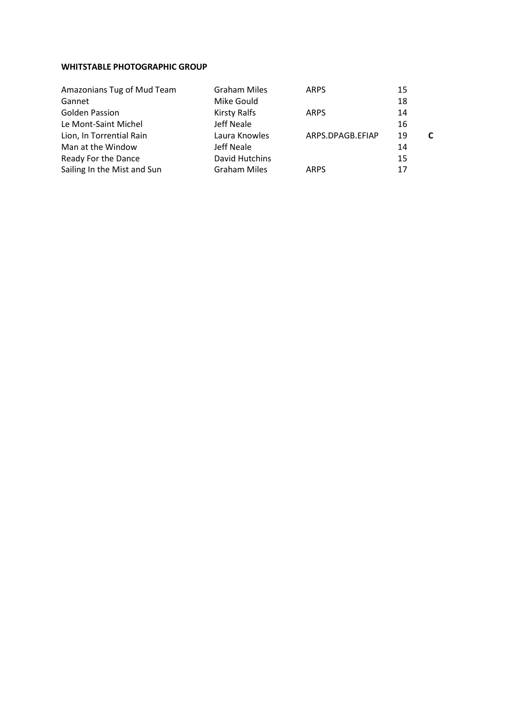#### **WHITSTABLE PHOTOGRAPHIC GROUP**

| Amazonians Tug of Mud Team  | <b>Graham Miles</b> | <b>ARPS</b>      | 15 |
|-----------------------------|---------------------|------------------|----|
| Gannet                      | Mike Gould          |                  | 18 |
| <b>Golden Passion</b>       | <b>Kirsty Ralfs</b> | <b>ARPS</b>      | 14 |
| Le Mont-Saint Michel        | Jeff Neale          |                  | 16 |
| Lion, In Torrential Rain    | Laura Knowles       | ARPS.DPAGB.EFIAP | 19 |
| Man at the Window           | Jeff Neale          |                  | 14 |
| Ready For the Dance         | David Hutchins      |                  | 15 |
| Sailing In the Mist and Sun | <b>Graham Miles</b> | <b>ARPS</b>      | 17 |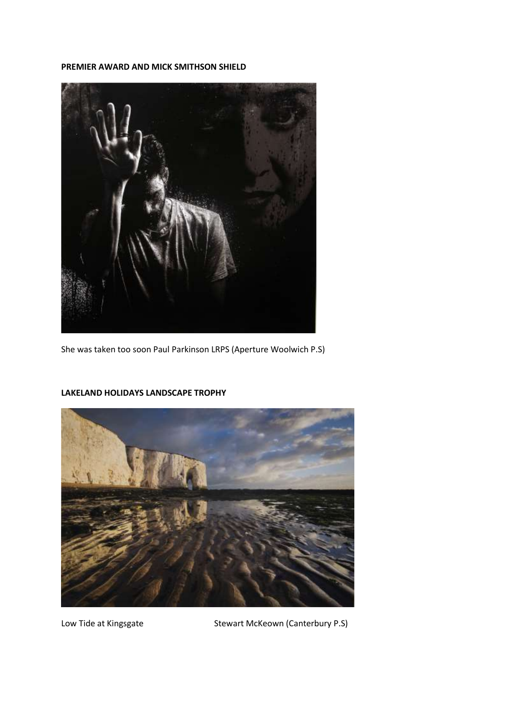#### **PREMIER AWARD AND MICK SMITHSON SHIELD**



She was taken too soon Paul Parkinson LRPS (Aperture Woolwich P.S)



#### **LAKELAND HOLIDAYS LANDSCAPE TROPHY**

Low Tide at Kingsgate Stewart McKeown (Canterbury P.S)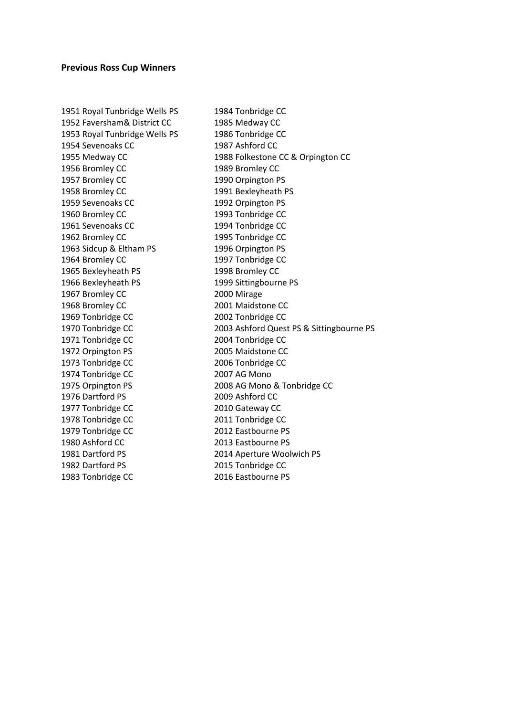#### **Previous Ross Cup Winners**

1951 Royal Tunbridge Wells PS 1984 Tonbridge CC 1952 Faversham& District CC 1985 Medway CC 1953 Royal Tunbridge Wells PS 1986 Tonbridge CC 1954 Sevenoaks CC 1987 Ashford CC 1956 Bromley CC 1989 Bromley CC 1957 Bromley CC 1990 Orpington PS 1958 Bromley CC 1991 Bexleyheath PS 1959 Sevenoaks CC 1992 Orpington PS 1960 Bromley CC 1993 Tonbridge CC 1961 Sevenoaks CC 1994 Tonbridge CC 1962 Bromley CC 1995 Tonbridge CC 1963 Sidcup & Eltham PS 1996 Orpington PS 1964 Bromley CC 1997 Tonbridge CC 1965 Bexleyheath PS 1998 Bromley CC 1966 Bexleyheath PS 1999 Sittingbourne PS 1967 Bromley CC 2000 Mirage 1968 Bromley CC 2001 Maidstone CC 1969 Tonbridge CC 2002 Tonbridge CC 1971 Tonbridge CC 2004 Tonbridge CC 1972 Orpington PS 2005 Maidstone CC 1973 Tonbridge CC 2006 Tonbridge CC 1974 Tonbridge CC 2007 AG Mono 1976 Dartford PS 2009 Ashford CC 1977 Tonbridge CC 2010 Gateway CC 1978 Tonbridge CC 2011 Tonbridge CC 1979 Tonbridge CC 2012 Eastbourne PS 1980 Ashford CC 2013 Eastbourne PS 1981 Dartford PS 2014 Aperture Woolwich PS 1982 Dartford PS 2015 Tonbridge CC

1955 Medway CC 1988 Folkestone CC & Orpington CC 1970 Tonbridge CC 2003 Ashford Quest PS & Sittingbourne PS 1975 Orpington PS 2008 AG Mono & Tonbridge CC 1983 Tonbridge CC 2016 Eastbourne PS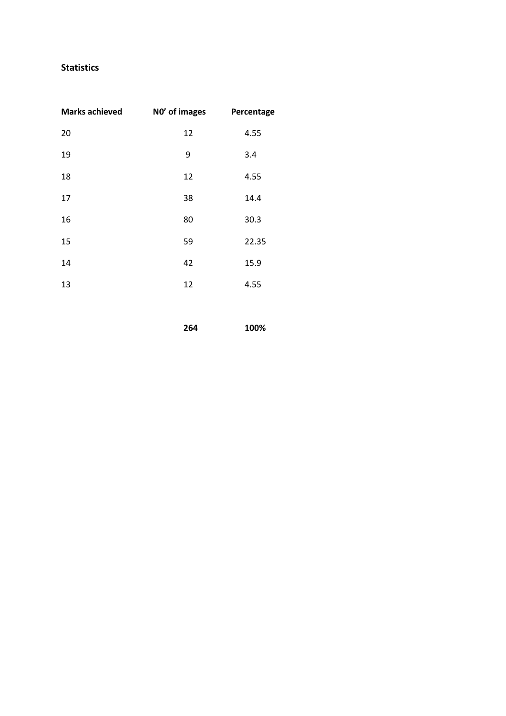#### **Statistics**

| <b>Marks achieved</b> | NO' of images | Percentage |
|-----------------------|---------------|------------|
| 20                    | 12            | 4.55       |
| 19                    | 9             | 3.4        |
| 18                    | 12            | 4.55       |
| 17                    | 38            | 14.4       |
| 16                    | 80            | 30.3       |
| 15                    | 59            | 22.35      |
| 14                    | 42            | 15.9       |
| 13                    | 12            | 4.55       |

**100%**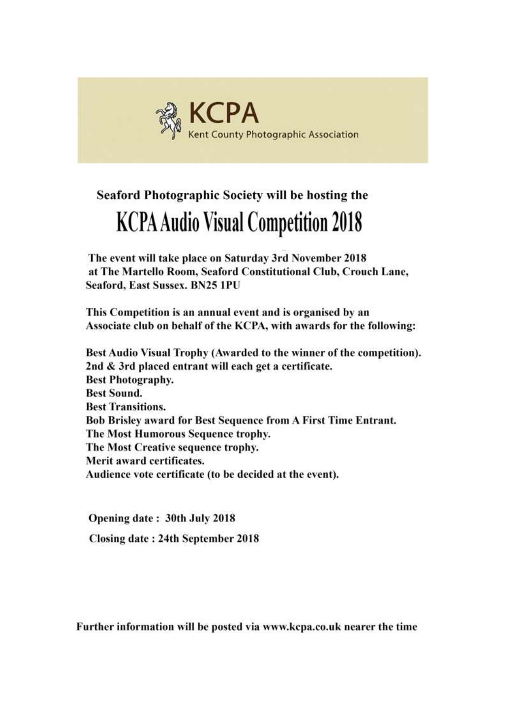

## Seaford Photographic Society will be hosting the **KCPA Audio Visual Competition 2018**

The event will take place on Saturday 3rd November 2018 at The Martello Room, Seaford Constitutional Club, Crouch Lane, **Seaford, East Sussex, BN25 1PU** 

This Competition is an annual event and is organised by an Associate club on behalf of the KCPA, with awards for the following:

Best Audio Visual Trophy (Awarded to the winner of the competition). 2nd & 3rd placed entrant will each get a certificate. **Best Photography. Best Sound. Best Transitions.** Bob Brisley award for Best Sequence from A First Time Entrant. The Most Humorous Sequence trophy. The Most Creative sequence trophy. Merit award certificates. Audience vote certificate (to be decided at the event).

Opening date: 30th July 2018 Closing date: 24th September 2018

Further information will be posted via www.kcpa.co.uk nearer the time